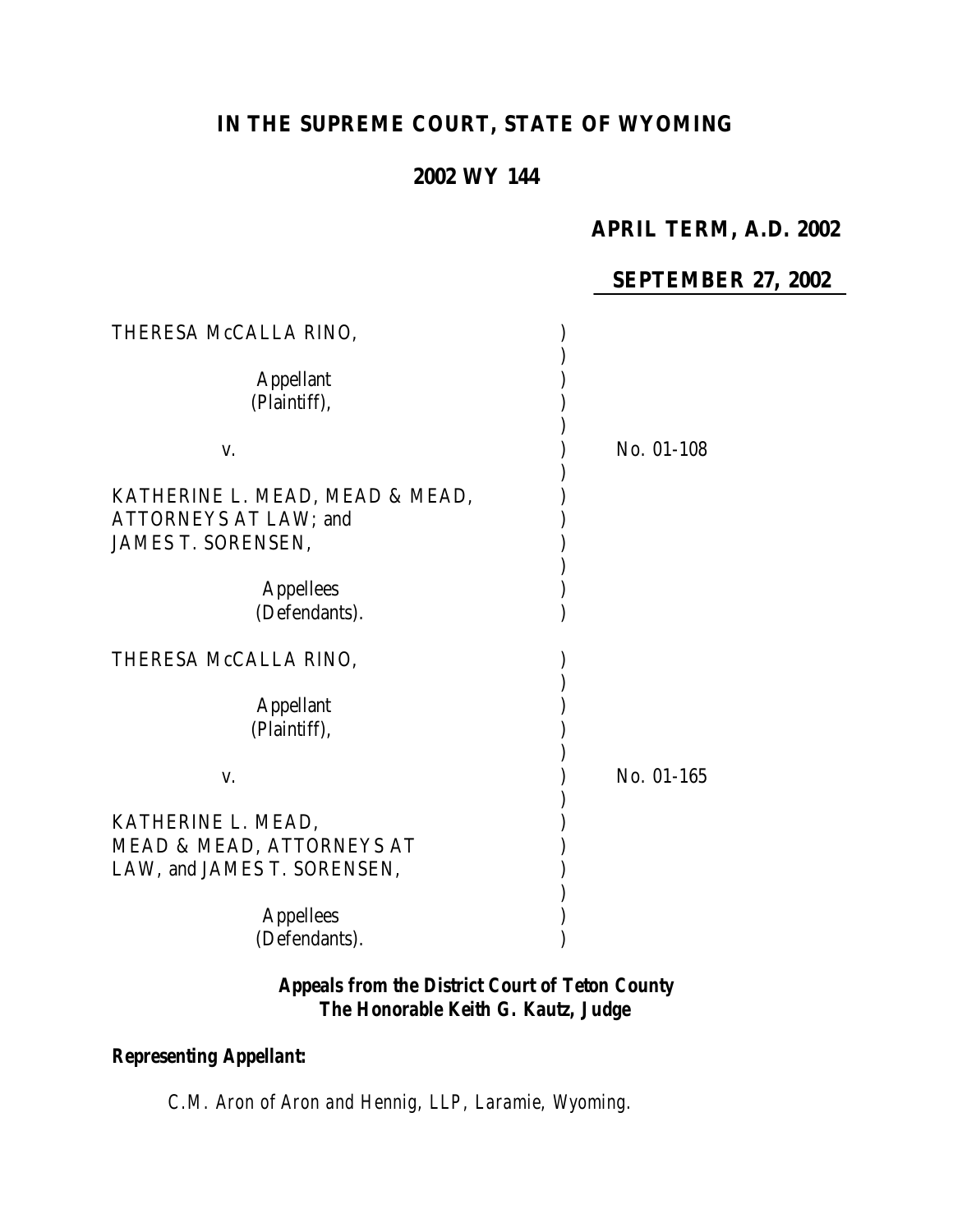# **IN THE SUPREME COURT, STATE OF WYOMING**

## **2002 WY 144**

## **APRIL TERM, A.D. 2002**

### **SEPTEMBER 27, 2002**

| THERESA McCALLA RINO,                                                                                                      |            |
|----------------------------------------------------------------------------------------------------------------------------|------------|
| <b>Appellant</b><br>(Plaintiff),                                                                                           |            |
| V.                                                                                                                         | No. 01-108 |
| KATHERINE L. MEAD, MEAD & MEAD,<br><b>ATTORNEYS AT LAW; and</b><br>JAMES T. SORENSEN,<br><b>Appellees</b><br>(Defendants). |            |
| THERESA McCALLA RINO,                                                                                                      |            |
| <b>Appellant</b><br>(Plaintiff),<br>V.                                                                                     | No. 01-165 |
|                                                                                                                            |            |
| KATHERINE L. MEAD,<br>MEAD & MEAD, ATTORNEYS AT<br>LAW, and JAMES T. SORENSEN,                                             |            |
| <b>Appellees</b><br>(Defendants).                                                                                          |            |

#### *Appeals from the District Court of Teton County The Honorable Keith G. Kautz, Judge*

## *Representing Appellant:*

*C.M. Aron of Aron and Hennig, LLP, Laramie, Wyoming.*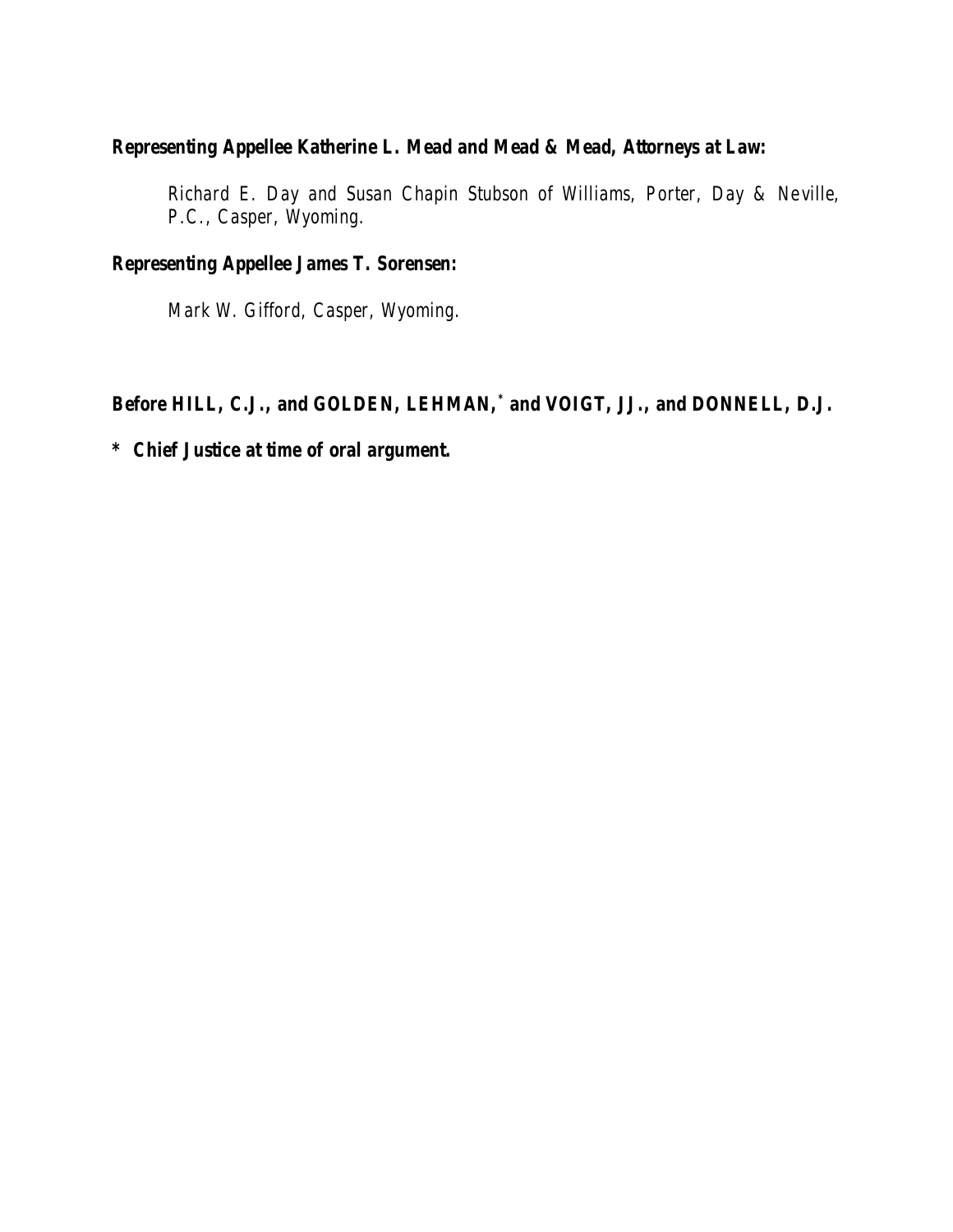#### *Representing Appellee Katherine L. Mead and Mead & Mead, Attorneys at Law:*

*Richard E. Day and Susan Chapin Stubson of Williams, Porter, Day & Neville, P.C., Casper, Wyoming.*

*Representing Appellee James T. Sorensen:*

*Mark W. Gifford, Casper, Wyoming.*

#### *Before HILL, C.J., and GOLDEN, LEHMAN,\* and VOIGT, JJ., and DONNELL, D.J.*

*\* Chief Justice at time of oral argument.*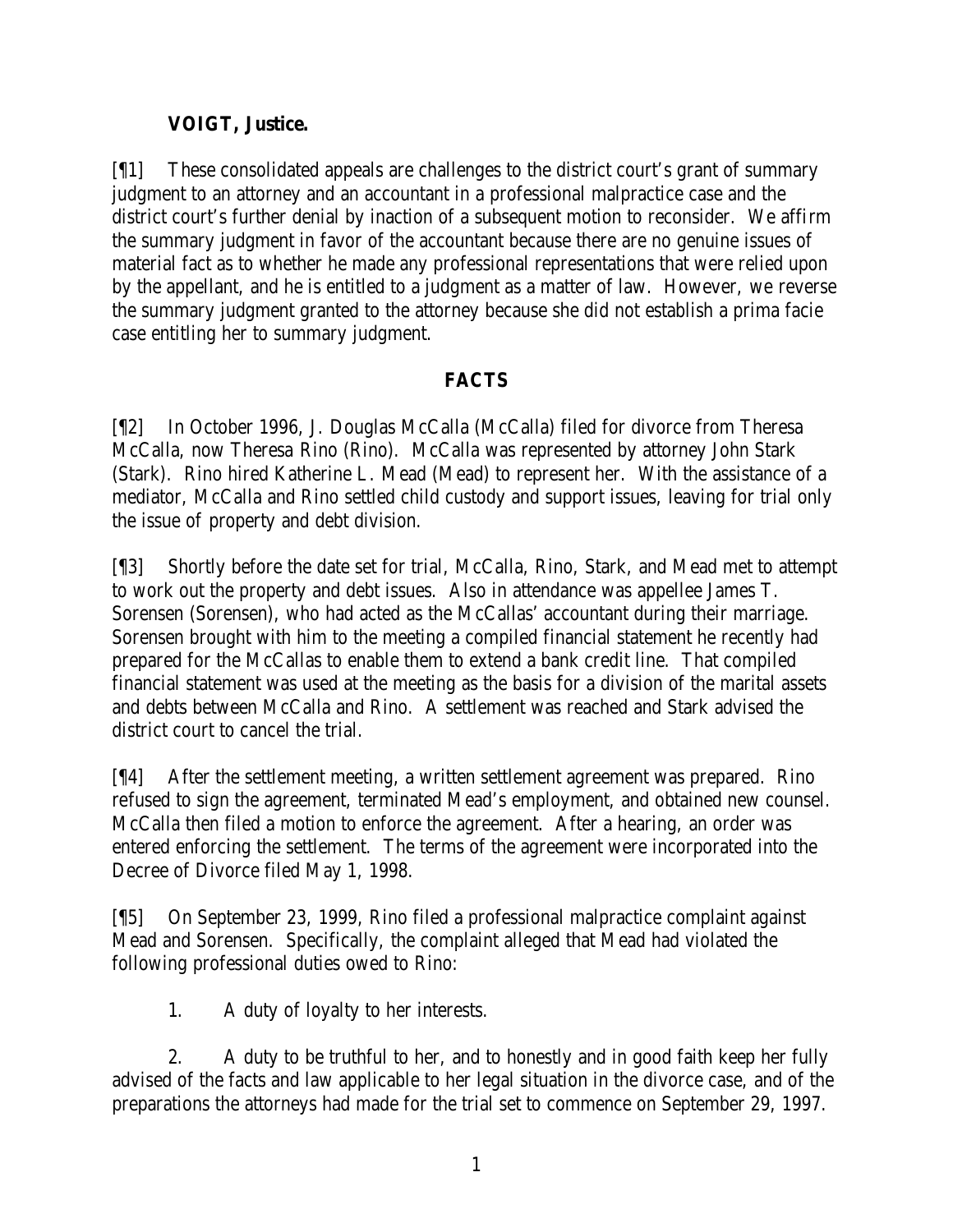## **VOIGT, Justice.**

[¶1] These consolidated appeals are challenges to the district court's grant of summary judgment to an attorney and an accountant in a professional malpractice case and the district court's further denial by inaction of a subsequent motion to reconsider. We affirm the summary judgment in favor of the accountant because there are no genuine issues of material fact as to whether he made any professional representations that were relied upon by the appellant, and he is entitled to a judgment as a matter of law. However, we reverse the summary judgment granted to the attorney because she did not establish a prima facie case entitling her to summary judgment.

## **FACTS**

[¶2] In October 1996, J. Douglas McCalla (McCalla) filed for divorce from Theresa McCalla, now Theresa Rino (Rino). McCalla was represented by attorney John Stark (Stark). Rino hired Katherine L. Mead (Mead) to represent her. With the assistance of a mediator, McCalla and Rino settled child custody and support issues, leaving for trial only the issue of property and debt division.

[¶3] Shortly before the date set for trial, McCalla, Rino, Stark, and Mead met to attempt to work out the property and debt issues. Also in attendance was appellee James T. Sorensen (Sorensen), who had acted as the McCallas' accountant during their marriage. Sorensen brought with him to the meeting a compiled financial statement he recently had prepared for the McCallas to enable them to extend a bank credit line. That compiled financial statement was used at the meeting as the basis for a division of the marital assets and debts between McCalla and Rino. A settlement was reached and Stark advised the district court to cancel the trial.

[¶4] After the settlement meeting, a written settlement agreement was prepared. Rino refused to sign the agreement, terminated Mead's employment, and obtained new counsel. McCalla then filed a motion to enforce the agreement. After a hearing, an order was entered enforcing the settlement. The terms of the agreement were incorporated into the Decree of Divorce filed May 1, 1998.

[¶5] On September 23, 1999, Rino filed a professional malpractice complaint against Mead and Sorensen. Specifically, the complaint alleged that Mead had violated the following professional duties owed to Rino:

1. A duty of loyalty to her interests.

2. A duty to be truthful to her, and to honestly and in good faith keep her fully advised of the facts and law applicable to her legal situation in the divorce case, and of the preparations the attorneys had made for the trial set to commence on September 29, 1997.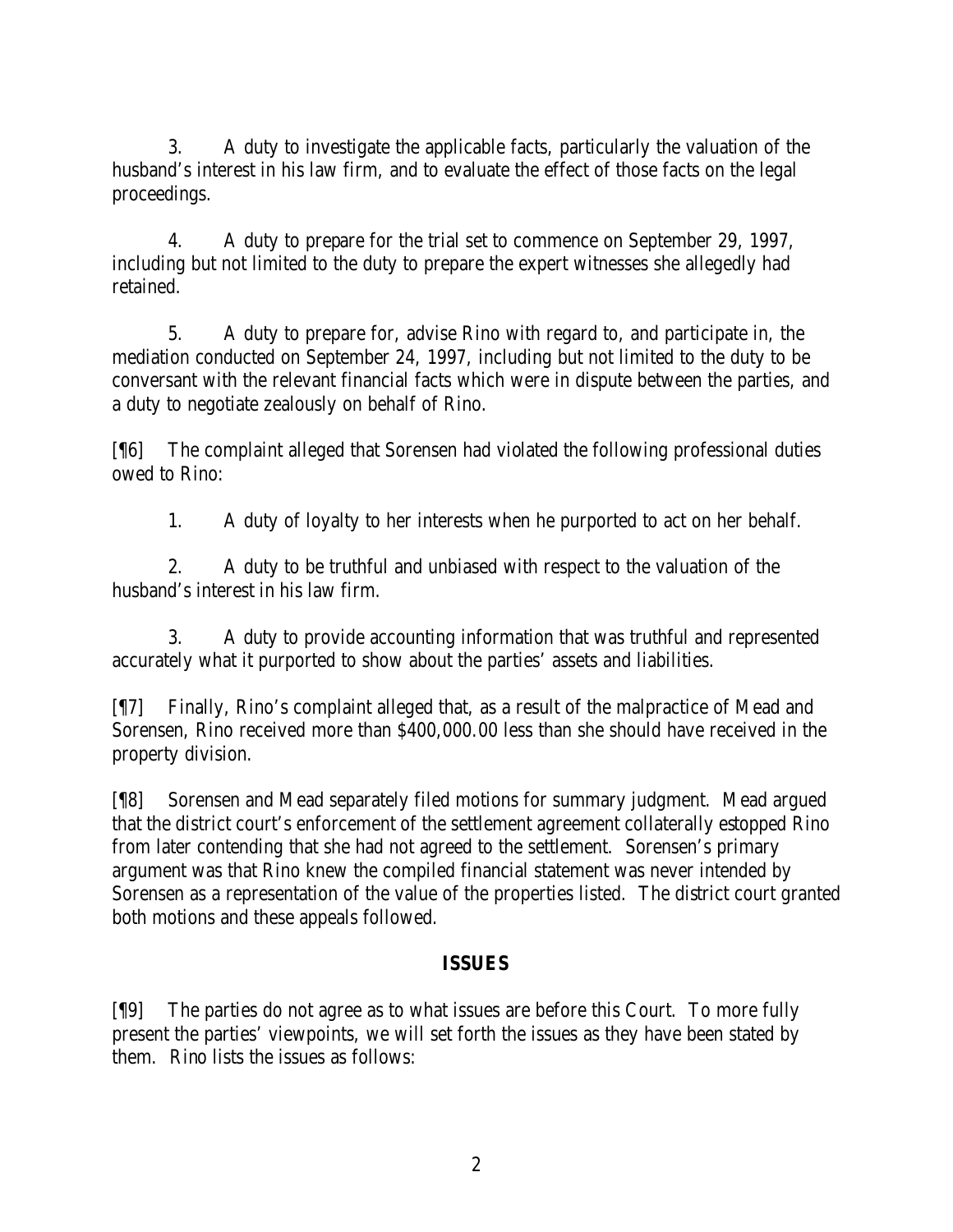3. A duty to investigate the applicable facts, particularly the valuation of the husband's interest in his law firm, and to evaluate the effect of those facts on the legal proceedings.

4. A duty to prepare for the trial set to commence on September 29, 1997, including but not limited to the duty to prepare the expert witnesses she allegedly had retained.

5. A duty to prepare for, advise Rino with regard to, and participate in, the mediation conducted on September 24, 1997, including but not limited to the duty to be conversant with the relevant financial facts which were in dispute between the parties, and a duty to negotiate zealously on behalf of Rino.

[¶6] The complaint alleged that Sorensen had violated the following professional duties owed to Rino:

1. A duty of loyalty to her interests when he purported to act on her behalf.

2. A duty to be truthful and unbiased with respect to the valuation of the husband's interest in his law firm.

3. A duty to provide accounting information that was truthful and represented accurately what it purported to show about the parties' assets and liabilities.

[¶7] Finally, Rino's complaint alleged that, as a result of the malpractice of Mead and Sorensen, Rino received more than \$400,000.00 less than she should have received in the property division.

[¶8] Sorensen and Mead separately filed motions for summary judgment. Mead argued that the district court's enforcement of the settlement agreement collaterally estopped Rino from later contending that she had not agreed to the settlement. Sorensen's primary argument was that Rino knew the compiled financial statement was never intended by Sorensen as a representation of the value of the properties listed. The district court granted both motions and these appeals followed.

#### **ISSUES**

[¶9] The parties do not agree as to what issues are before this Court. To more fully present the parties' viewpoints, we will set forth the issues as they have been stated by them. Rino lists the issues as follows: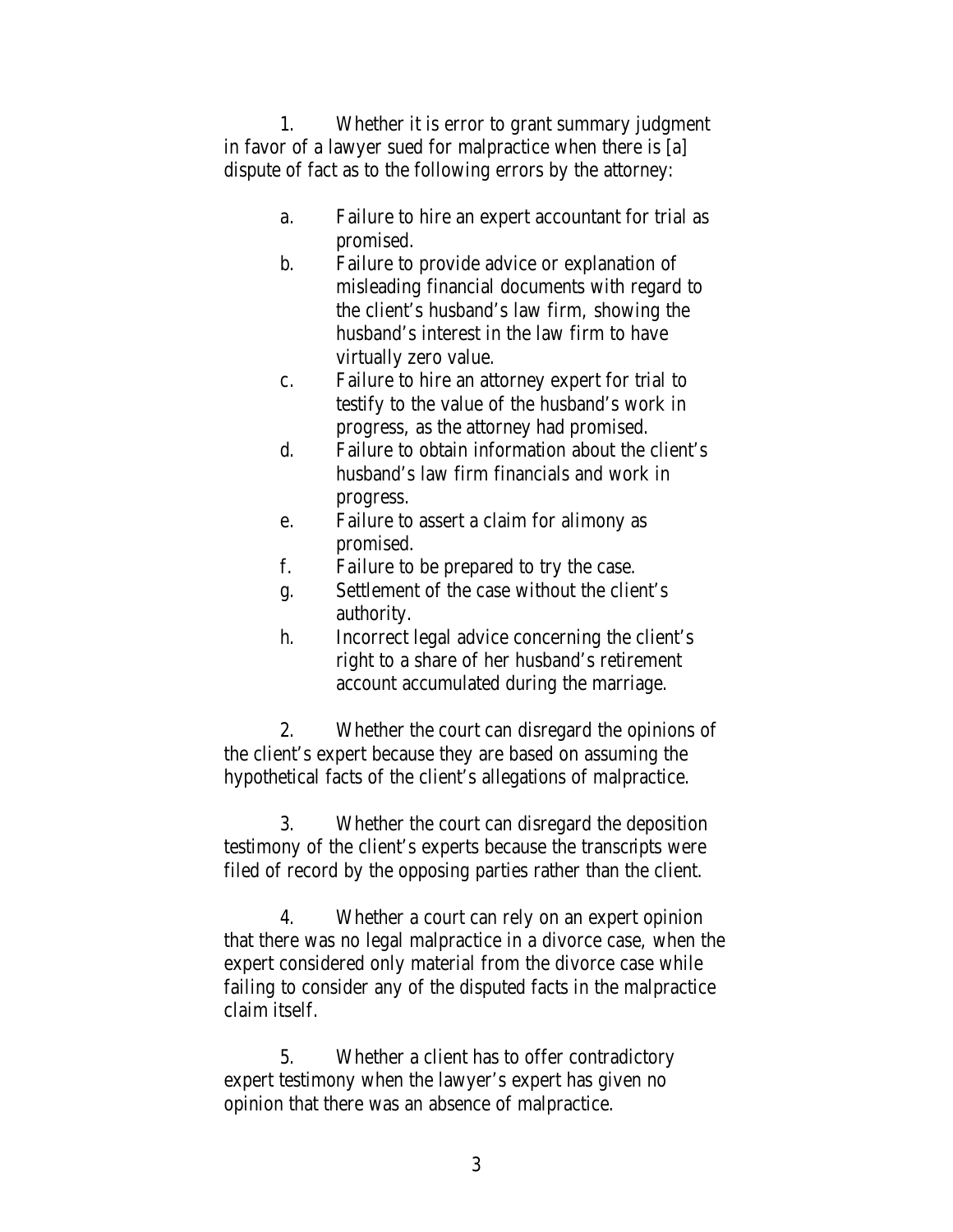1. Whether it is error to grant summary judgment in favor of a lawyer sued for malpractice when there is [a] dispute of fact as to the following errors by the attorney:

- a. Failure to hire an expert accountant for trial as promised.
- b. Failure to provide advice or explanation of misleading financial documents with regard to the client's husband's law firm, showing the husband's interest in the law firm to have virtually zero value.
- c. Failure to hire an attorney expert for trial to testify to the value of the husband's work in progress, as the attorney had promised.
- d. Failure to obtain information about the client's husband's law firm financials and work in progress.
- e. Failure to assert a claim for alimony as promised.
- f. Failure to be prepared to try the case.
- g. Settlement of the case without the client's authority.
- h. Incorrect legal advice concerning the client's right to a share of her husband's retirement account accumulated during the marriage.

2. Whether the court can disregard the opinions of the client's expert because they are based on assuming the hypothetical facts of the client's allegations of malpractice.

3. Whether the court can disregard the deposition testimony of the client's experts because the transcripts were filed of record by the opposing parties rather than the client.

4. Whether a court can rely on an expert opinion that there was no legal malpractice in a divorce case, when the expert considered only material from the divorce case while failing to consider any of the disputed facts in the malpractice claim itself.

5. Whether a client has to offer contradictory expert testimony when the lawyer's expert has given no opinion that there was an absence of malpractice.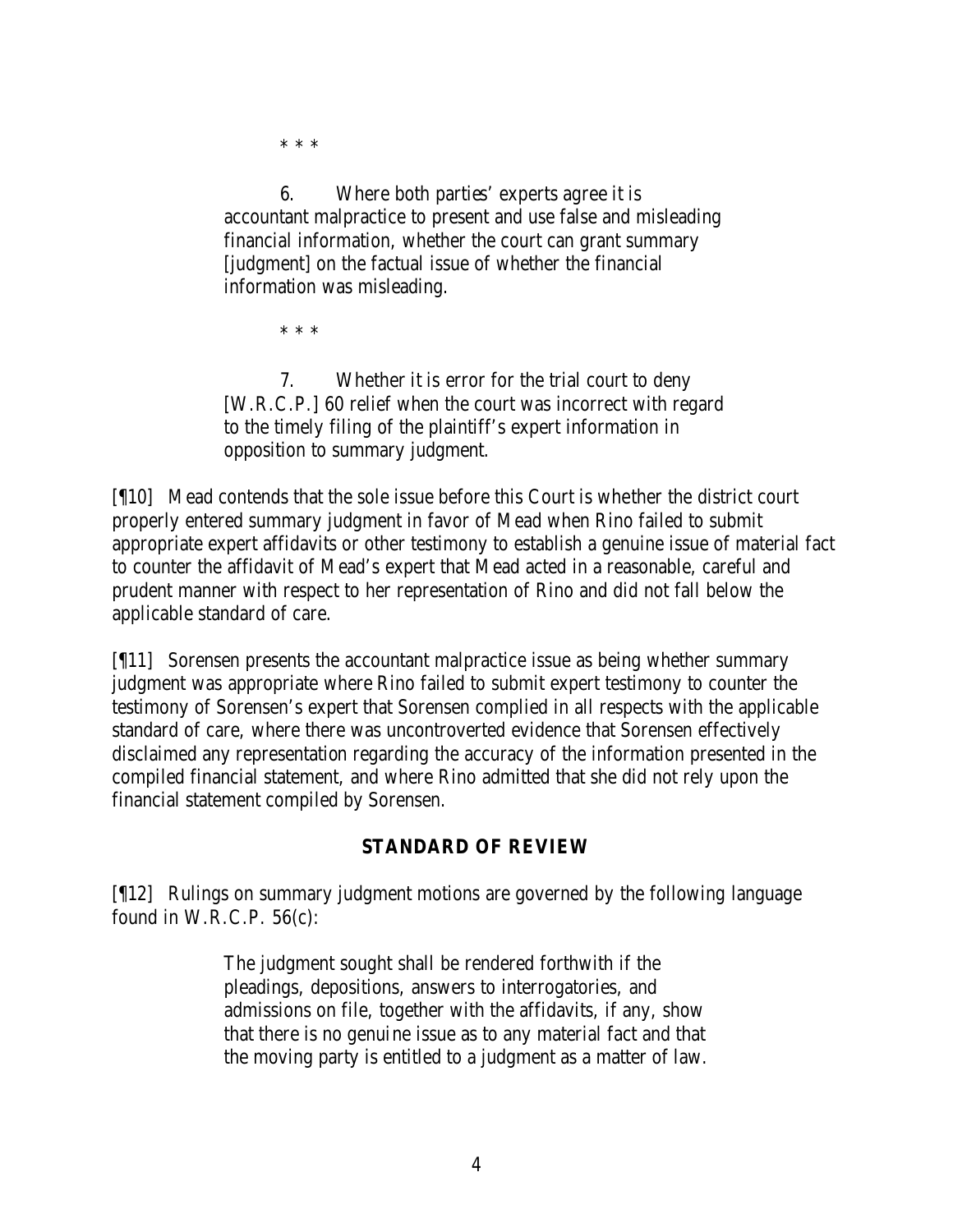\* \* \*

6. Where both parties' experts agree it is accountant malpractice to present and use false and misleading financial information, whether the court can grant summary [judgment] on the factual issue of whether the financial information was misleading.

\* \* \*

7. Whether it is error for the trial court to deny [W.R.C.P.] 60 relief when the court was incorrect with regard to the timely filing of the plaintiff's expert information in opposition to summary judgment.

[¶10] Mead contends that the sole issue before this Court is whether the district court properly entered summary judgment in favor of Mead when Rino failed to submit appropriate expert affidavits or other testimony to establish a genuine issue of material fact to counter the affidavit of Mead's expert that Mead acted in a reasonable, careful and prudent manner with respect to her representation of Rino and did not fall below the applicable standard of care.

[¶11] Sorensen presents the accountant malpractice issue as being whether summary judgment was appropriate where Rino failed to submit expert testimony to counter the testimony of Sorensen's expert that Sorensen complied in all respects with the applicable standard of care, where there was uncontroverted evidence that Sorensen effectively disclaimed any representation regarding the accuracy of the information presented in the compiled financial statement, and where Rino admitted that she did not rely upon the financial statement compiled by Sorensen.

#### **STANDARD OF REVIEW**

[¶12] Rulings on summary judgment motions are governed by the following language found in  $W.R.C.P. 56(c)$ :

> The judgment sought shall be rendered forthwith if the pleadings, depositions, answers to interrogatories, and admissions on file, together with the affidavits, if any, show that there is no genuine issue as to any material fact and that the moving party is entitled to a judgment as a matter of law.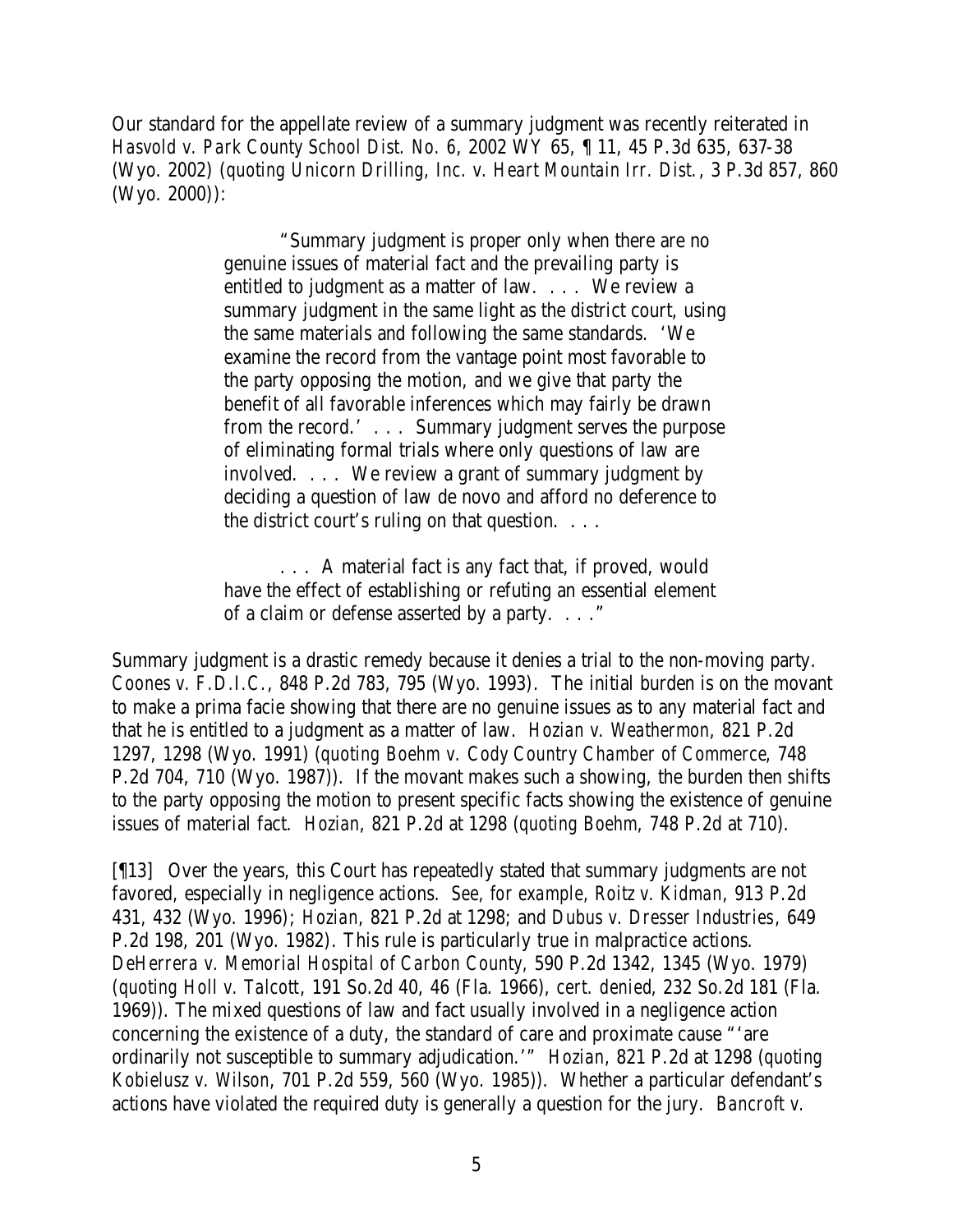Our standard for the appellate review of a summary judgment was recently reiterated in *Hasvold v. Park County School Dist. No. 6*, 2002 WY 65, ¶ 11, 45 P.3d 635, 637-38 (Wyo. 2002) (*quoting Unicorn Drilling, Inc. v. Heart Mountain Irr. Dist.*, 3 P.3d 857, 860 (Wyo. 2000)):

> "Summary judgment is proper only when there are no genuine issues of material fact and the prevailing party is entitled to judgment as a matter of law. . . . We review a summary judgment in the same light as the district court, using the same materials and following the same standards. 'We examine the record from the vantage point most favorable to the party opposing the motion, and we give that party the benefit of all favorable inferences which may fairly be drawn from the record.' . . . Summary judgment serves the purpose of eliminating formal trials where only questions of law are involved. . . . We review a grant of summary judgment by deciding a question of law de novo and afford no deference to the district court's ruling on that question. . . .

. . . A material fact is any fact that, if proved, would have the effect of establishing or refuting an essential element of a claim or defense asserted by a party. . . ."

Summary judgment is a drastic remedy because it denies a trial to the non-moving party. *Coones v. F.D.I.C.*, 848 P.2d 783, 795 (Wyo. 1993). The initial burden is on the movant to make a prima facie showing that there are no genuine issues as to any material fact and that he is entitled to a judgment as a matter of law. *Hozian v. Weathermon*, 821 P.2d 1297, 1298 (Wyo. 1991) (*quoting Boehm v. Cody Country Chamber of Commerce*, 748 P.2d 704, 710 (Wyo. 1987)). If the movant makes such a showing, the burden then shifts to the party opposing the motion to present specific facts showing the existence of genuine issues of material fact. *Hozian*, 821 P.2d at 1298 (*quoting Boehm*, 748 P.2d at 710).

[¶13] Over the years, this Court has repeatedly stated that summary judgments are not favored, especially in negligence actions. *See, for example, Roitz v. Kidman*, 913 P.2d 431, 432 (Wyo. 1996); *Hozian*, 821 P.2d at 1298; and *Dubus v. Dresser Industries*, 649 P.2d 198, 201 (Wyo. 1982). This rule is particularly true in malpractice actions. *DeHerrera v. Memorial Hospital of Carbon County,* 590 P.2d 1342, 1345 (Wyo. 1979) (*quoting Holl v. Talcott*, 191 So.2d 40, 46 (Fla. 1966), *cert. denied*, 232 So.2d 181 (Fla. 1969)). The mixed questions of law and fact usually involved in a negligence action concerning the existence of a duty, the standard of care and proximate cause "'are ordinarily not susceptible to summary adjudication.'" *Hozian*, 821 P.2d at 1298 (*quoting Kobielusz v. Wilson*, 701 P.2d 559, 560 (Wyo. 1985)). Whether a particular defendant's actions have violated the required duty is generally a question for the jury. *Bancroft v.*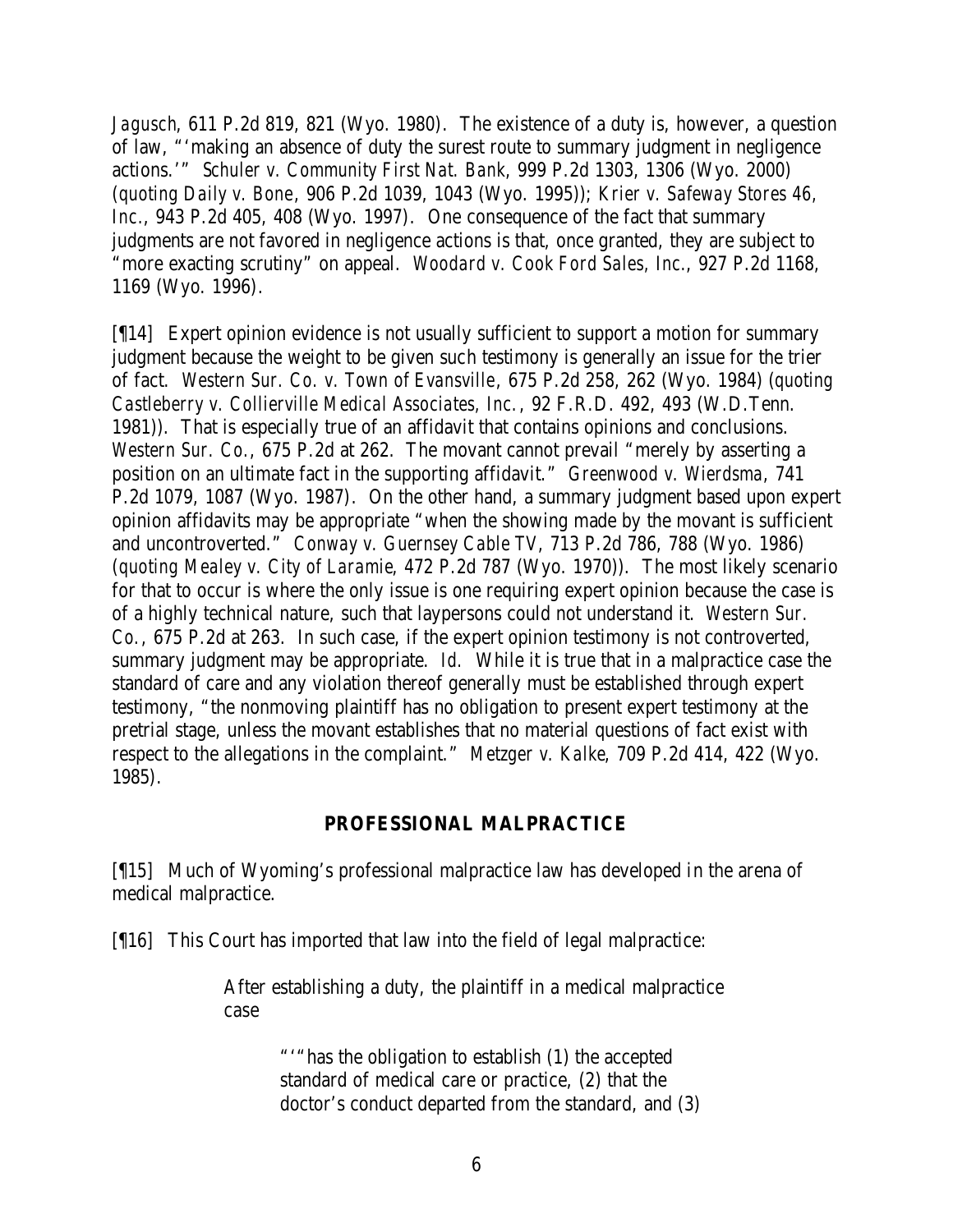*Jagusch*, 611 P.2d 819, 821 (Wyo. 1980). The existence of a duty is, however, a question of law, "'making an absence of duty the surest route to summary judgment in negligence actions.'" *Schuler v. Community First Nat. Bank*, 999 P.2d 1303, 1306 (Wyo. 2000) (*quoting Daily v. Bone*, 906 P.2d 1039, 1043 (Wyo. 1995)); *Krier v. Safeway Stores 46, Inc.*, 943 P.2d 405, 408 (Wyo. 1997). One consequence of the fact that summary judgments are not favored in negligence actions is that, once granted, they are subject to "more exacting scrutiny" on appeal. *Woodard v. Cook Ford Sales, Inc.*, 927 P.2d 1168, 1169 (Wyo. 1996).

[¶14] Expert opinion evidence is not usually sufficient to support a motion for summary judgment because the weight to be given such testimony is generally an issue for the trier of fact. *Western Sur. Co. v. Town of Evansville*, 675 P.2d 258, 262 (Wyo. 1984) (*quoting Castleberry v. Collierville Medical Associates, Inc.*, 92 F.R.D. 492, 493 (W.D.Tenn. 1981)). That is especially true of an affidavit that contains opinions and conclusions. *Western Sur. Co.*, 675 P.2d at 262. The movant cannot prevail "merely by asserting a position on an ultimate fact in the supporting affidavit." *Greenwood v. Wierdsma*, 741 P.2d 1079, 1087 (Wyo. 1987). On the other hand, a summary judgment based upon expert opinion affidavits may be appropriate "when the showing made by the movant is sufficient and uncontroverted." *Conway v. Guernsey Cable TV*, 713 P.2d 786, 788 (Wyo. 1986) (*quoting Mealey v. City of Laramie*, 472 P.2d 787 (Wyo. 1970)). The most likely scenario for that to occur is where the only issue is one requiring expert opinion because the case is of a highly technical nature, such that laypersons could not understand it. *Western Sur. Co.*, 675 P.2d at 263. In such case, if the expert opinion testimony is not controverted, summary judgment may be appropriate. *Id.* While it is true that in a malpractice case the standard of care and any violation thereof generally must be established through expert testimony, "the nonmoving plaintiff has no obligation to present expert testimony at the pretrial stage, unless the movant establishes that no material questions of fact exist with respect to the allegations in the complaint." *Metzger v. Kalke*, 709 P.2d 414, 422 (Wyo. 1985).

#### **PROFESSIONAL MALPRACTICE**

[¶15] Much of Wyoming's professional malpractice law has developed in the arena of medical malpractice.

[¶16] This Court has imported that law into the field of legal malpractice:

After establishing a duty, the plaintiff in a medical malpractice case

> "'"has the obligation to establish (1) the accepted standard of medical care or practice, (2) that the doctor's conduct departed from the standard, and (3)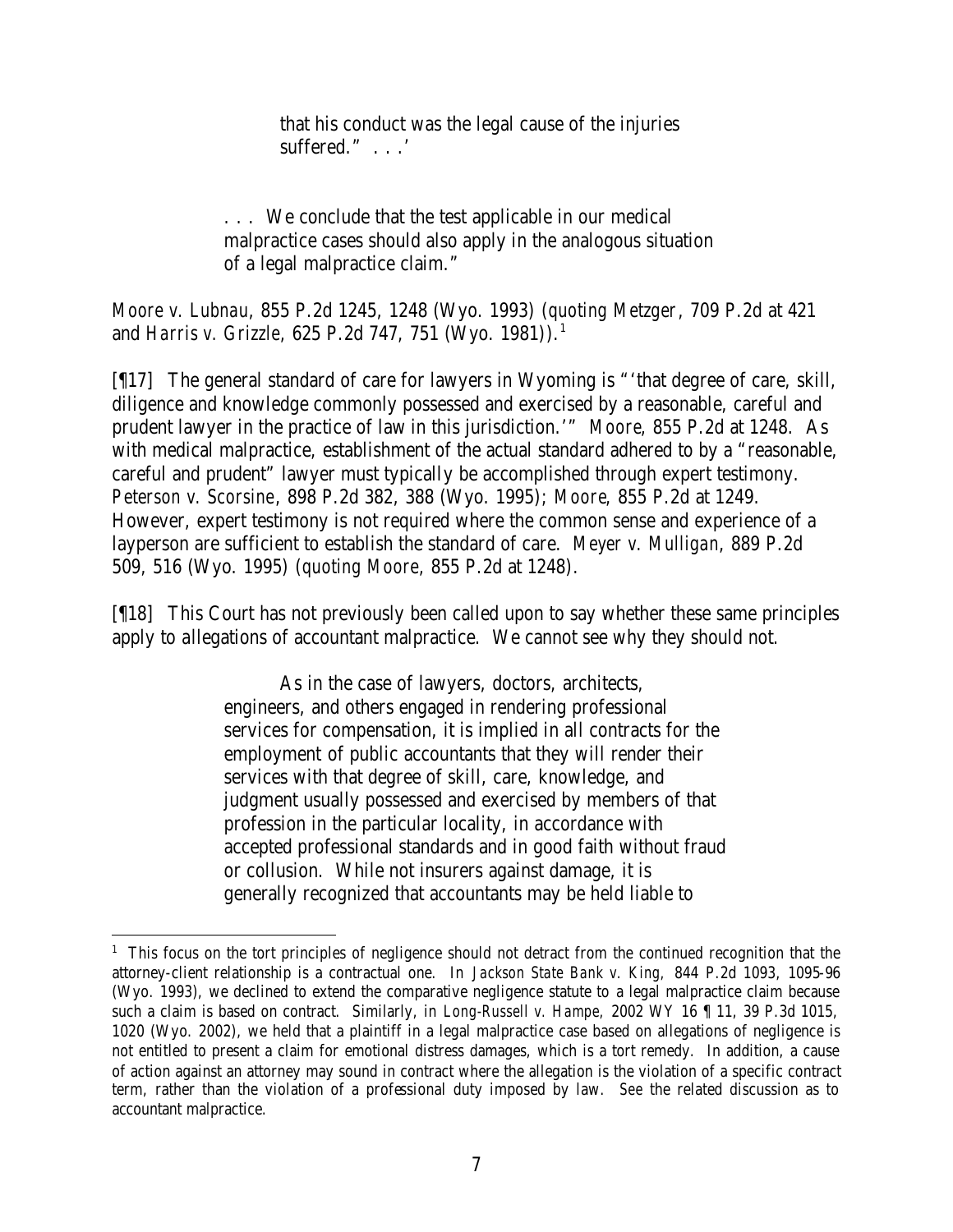that his conduct was the legal cause of the injuries suffered." . . .'

. . . We conclude that the test applicable in our medical malpractice cases should also apply in the analogous situation of a legal malpractice claim."

*Moore v. Lubnau*, 855 P.2d 1245, 1248 (Wyo. 1993) (*quoting Metzger*, 709 P.2d at 421 and *Harris v. Grizzle*, 625 P.2d 747, 751 (Wyo. 1981)).<sup>1</sup>

[¶17] The general standard of care for lawyers in Wyoming is "'that degree of care, skill, diligence and knowledge commonly possessed and exercised by a reasonable, careful and prudent lawyer in the practice of law in this jurisdiction.'" *Moore*, 855 P.2d at 1248. As with medical malpractice, establishment of the actual standard adhered to by a "reasonable, careful and prudent" lawyer must typically be accomplished through expert testimony. *Peterson v. Scorsine*, 898 P.2d 382, 388 (Wyo. 1995); *Moore*, 855 P.2d at 1249. However, expert testimony is not required where the common sense and experience of a layperson are sufficient to establish the standard of care. *Meyer v. Mulligan*, 889 P.2d 509, 516 (Wyo. 1995) (*quoting Moore*, 855 P.2d at 1248).

[¶18] This Court has not previously been called upon to say whether these same principles apply to allegations of accountant malpractice. We cannot see why they should not.

> As in the case of lawyers, doctors, architects, engineers, and others engaged in rendering professional services for compensation, it is implied in all contracts for the employment of public accountants that they will render their services with that degree of skill, care, knowledge, and judgment usually possessed and exercised by members of that profession in the particular locality, in accordance with accepted professional standards and in good faith without fraud or collusion. While not insurers against damage, it is generally recognized that accountants may be held liable to

<sup>&</sup>lt;sup>1</sup> This focus on the tort principles of negligence should not detract from the continued recognition that the attorney-client relationship is a contractual one. In *Jackson State Bank v. King,* 844 P.2d 1093, 1095-96 (Wyo. 1993), we declined to extend the comparative negligence statute to a legal malpractice claim because such a claim is based on contract. Similarly, in *Long-Russell v. Hampe,* 2002 WY 16 ¶ 11, 39 P.3d 1015, 1020 (Wyo. 2002), we held that a plaintiff in a legal malpractice case based on allegations of negligence is not entitled to present a claim for emotional distress damages, which is a tort remedy. In addition, a cause of action against an attorney may sound in contract where the allegation is the violation of a specific contract term, rather than the violation of a professional duty imposed by law. *See* the related discussion as to accountant malpractice.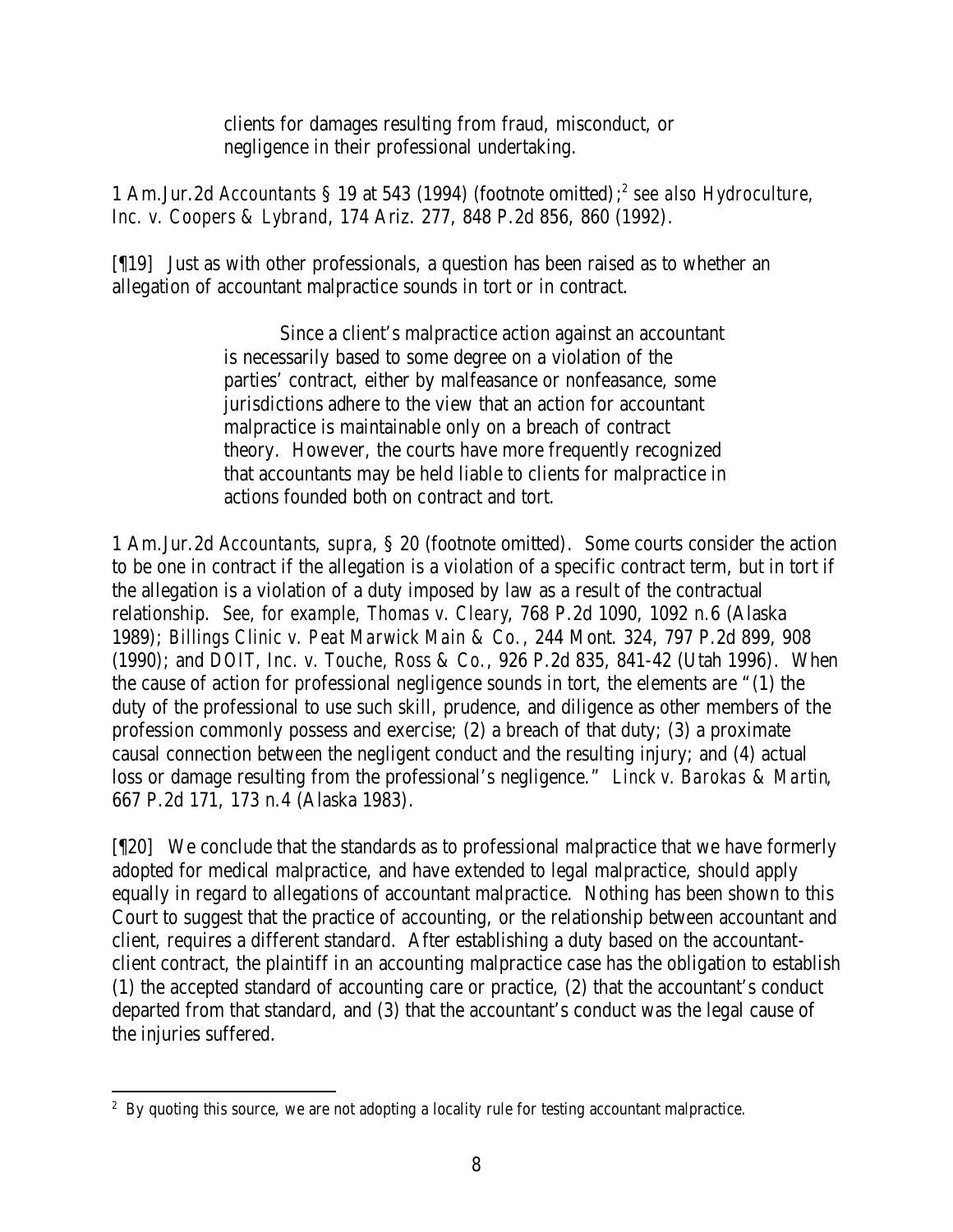clients for damages resulting from fraud, misconduct, or negligence in their professional undertaking.

1 Am.Jur.2d *Accountants* § 19 at 543 (1994) (footnote omitted); 2 *see also Hydroculture, Inc. v. Coopers & Lybrand*, 174 Ariz. 277, 848 P.2d 856, 860 (1992).

[¶19] Just as with other professionals, a question has been raised as to whether an allegation of accountant malpractice sounds in tort or in contract.

> Since a client's malpractice action against an accountant is necessarily based to some degree on a violation of the parties' contract, either by malfeasance or nonfeasance, some jurisdictions adhere to the view that an action for accountant malpractice is maintainable only on a breach of contract theory. However, the courts have more frequently recognized that accountants may be held liable to clients for malpractice in actions founded both on contract and tort.

1 Am.Jur.2d *Accountants*, *supra*, § 20 (footnote omitted). Some courts consider the action to be one in contract if the allegation is a violation of a specific contract term, but in tort if the allegation is a violation of a duty imposed by law as a result of the contractual relationship. *See, for example, Thomas v. Cleary*, 768 P.2d 1090, 1092 n.6 (Alaska 1989); *Billings Clinic v. Peat Marwick Main & Co.*, 244 Mont. 324, 797 P.2d 899, 908 (1990); and *DOIT, Inc. v. Touche, Ross & Co.*, 926 P.2d 835, 841-42 (Utah 1996). When the cause of action for professional negligence sounds in tort, the elements are "(1) the duty of the professional to use such skill, prudence, and diligence as other members of the profession commonly possess and exercise; (2) a breach of that duty; (3) a proximate causal connection between the negligent conduct and the resulting injury; and (4) actual loss or damage resulting from the professional's negligence." *Linck v. Barokas & Martin*, 667 P.2d 171, 173 n.4 (Alaska 1983).

[¶20] We conclude that the standards as to professional malpractice that we have formerly adopted for medical malpractice, and have extended to legal malpractice, should apply equally in regard to allegations of accountant malpractice. Nothing has been shown to this Court to suggest that the practice of accounting, or the relationship between accountant and client, requires a different standard. After establishing a duty based on the accountantclient contract, the plaintiff in an accounting malpractice case has the obligation to establish (1) the accepted standard of accounting care or practice, (2) that the accountant's conduct departed from that standard, and (3) that the accountant's conduct was the legal cause of the injuries suffered.

  $2$  By quoting this source, we are not adopting a locality rule for testing accountant malpractice.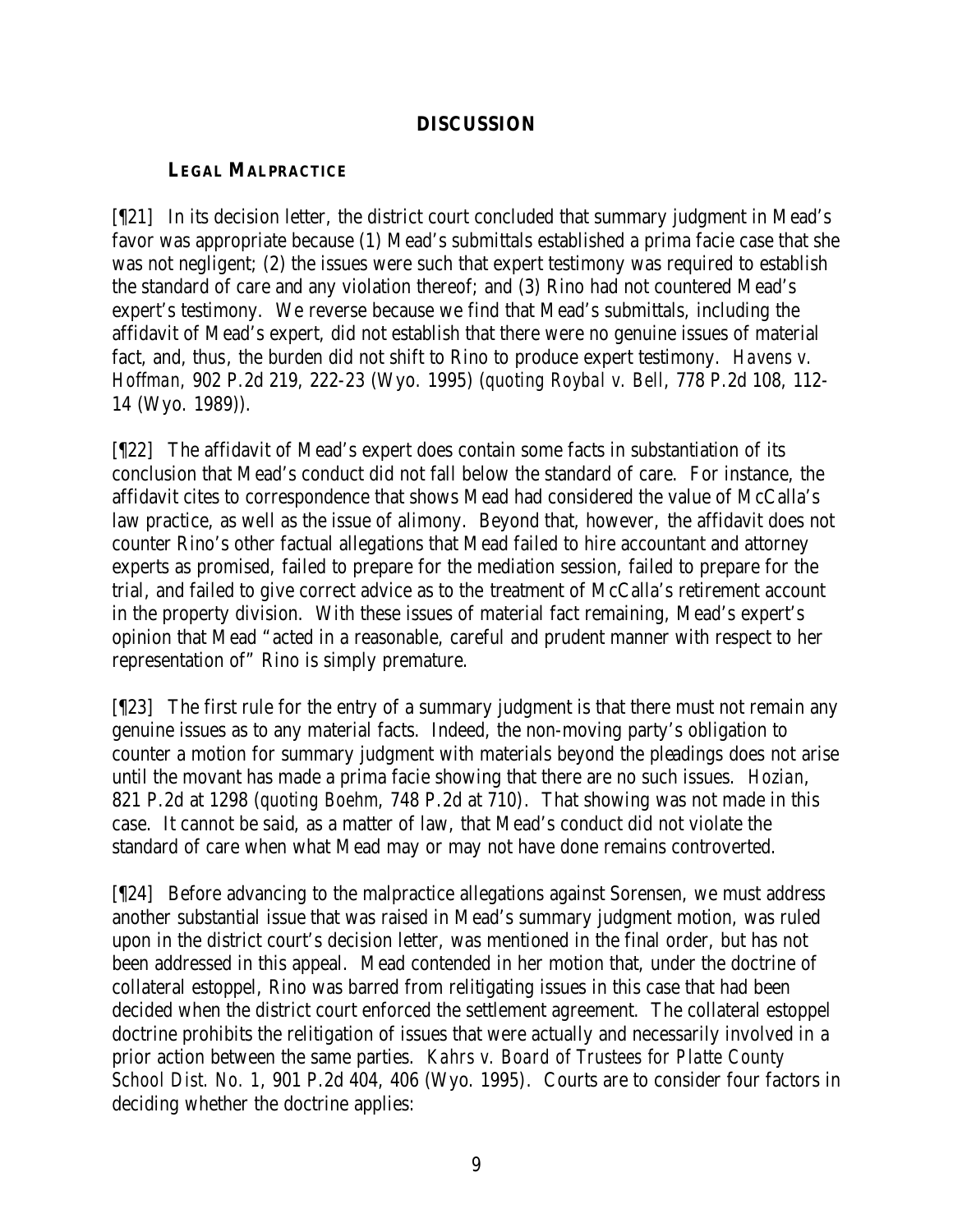#### **DISCUSSION**

#### **LEGAL MALPRACTICE**

[¶21] In its decision letter, the district court concluded that summary judgment in Mead's favor was appropriate because (1) Mead's submittals established a prima facie case that she was not negligent; (2) the issues were such that expert testimony was required to establish the standard of care and any violation thereof; and (3) Rino had not countered Mead's expert's testimony. We reverse because we find that Mead's submittals, including the affidavit of Mead's expert, did not establish that there were no genuine issues of material fact, and, thus, the burden did not shift to Rino to produce expert testimony. *Havens v. Hoffman,* 902 P.2d 219, 222-23 (Wyo. 1995) (*quoting Roybal v. Bell*, 778 P.2d 108, 112- 14 (Wyo. 1989)).

[¶22] The affidavit of Mead's expert does contain some facts in substantiation of its conclusion that Mead's conduct did not fall below the standard of care. For instance, the affidavit cites to correspondence that shows Mead had considered the value of McCalla's law practice, as well as the issue of alimony. Beyond that, however, the affidavit does not counter Rino's other factual allegations that Mead failed to hire accountant and attorney experts as promised, failed to prepare for the mediation session, failed to prepare for the trial, and failed to give correct advice as to the treatment of McCalla's retirement account in the property division. With these issues of material fact remaining, Mead's expert's opinion that Mead "acted in a reasonable, careful and prudent manner with respect to her representation of" Rino is simply premature.

[¶23] The first rule for the entry of a summary judgment is that there must not remain any genuine issues as to any material facts. Indeed, the non-moving party's obligation to counter a motion for summary judgment with materials beyond the pleadings does not arise until the movant has made a prima facie showing that there are no such issues. *Hozian*, 821 P.2d at 1298 (*quoting Boehm*, 748 P.2d at 710). That showing was not made in this case. It cannot be said, as a matter of law, that Mead's conduct did not violate the standard of care when what Mead may or may not have done remains controverted.

[¶24] Before advancing to the malpractice allegations against Sorensen, we must address another substantial issue that was raised in Mead's summary judgment motion, was ruled upon in the district court's decision letter, was mentioned in the final order, but has not been addressed in this appeal. Mead contended in her motion that, under the doctrine of collateral estoppel, Rino was barred from relitigating issues in this case that had been decided when the district court enforced the settlement agreement. The collateral estoppel doctrine prohibits the relitigation of issues that were actually and necessarily involved in a prior action between the same parties. *Kahrs v. Board of Trustees for Platte County School Dist. No. 1*, 901 P.2d 404, 406 (Wyo. 1995). Courts are to consider four factors in deciding whether the doctrine applies: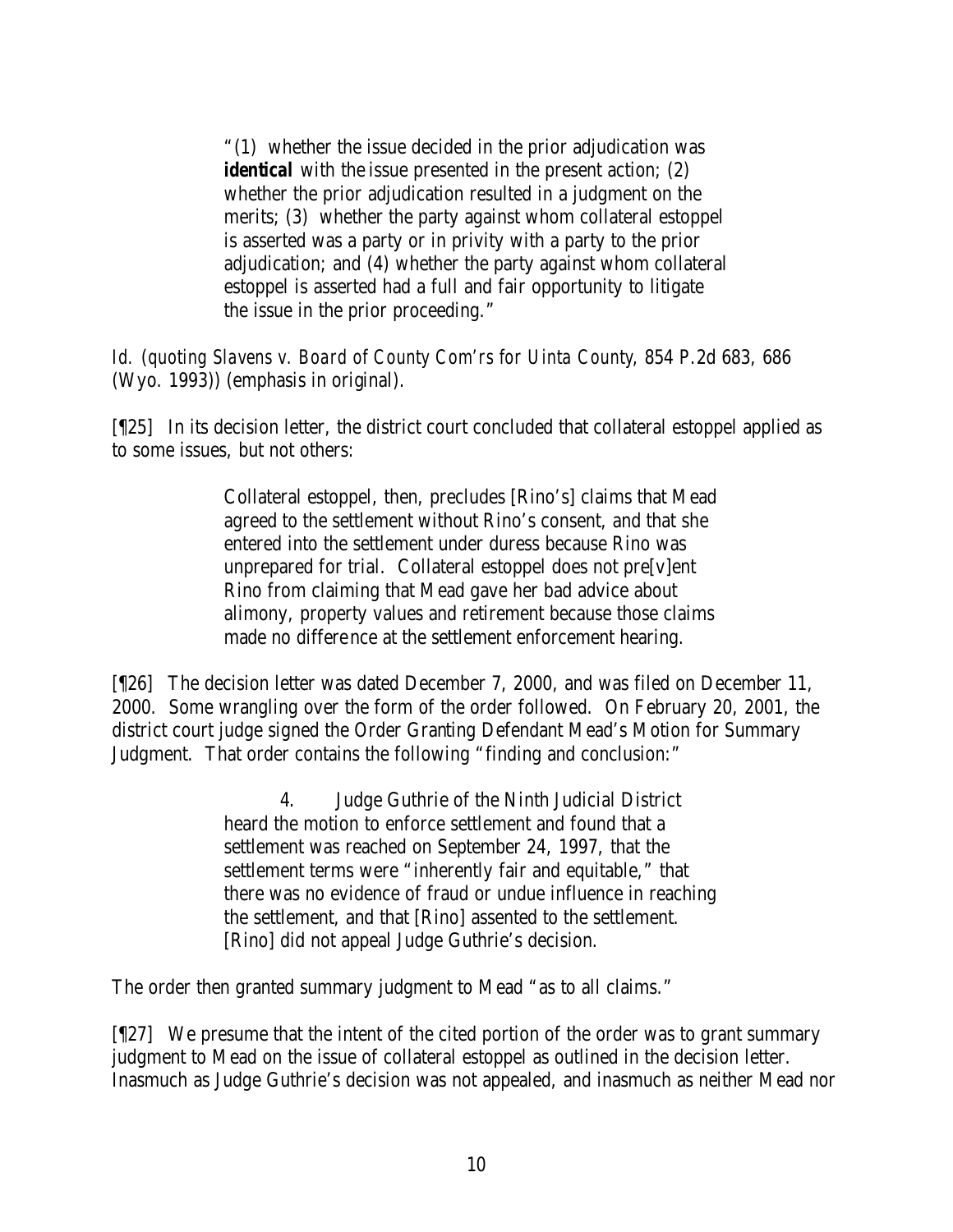"(1) whether the issue decided in the prior adjudication was *identical* with the issue presented in the present action; (2) whether the prior adjudication resulted in a judgment on the merits; (3) whether the party against whom collateral estoppel is asserted was a party or in privity with a party to the prior adjudication; and (4) whether the party against whom collateral estoppel is asserted had a full and fair opportunity to litigate the issue in the prior proceeding."

*Id.* (*quoting Slavens v. Board of County Com'rs for Uinta County*, 854 P.2d 683, 686 (Wyo. 1993)) (emphasis in original).

[¶25] In its decision letter, the district court concluded that collateral estoppel applied as to some issues, but not others:

> Collateral estoppel, then, precludes [Rino's] claims that Mead agreed to the settlement without Rino's consent, and that she entered into the settlement under duress because Rino was unprepared for trial. Collateral estoppel does not pre[v]ent Rino from claiming that Mead gave her bad advice about alimony, property values and retirement because those claims made no difference at the settlement enforcement hearing.

[¶26] The decision letter was dated December 7, 2000, and was filed on December 11, 2000. Some wrangling over the form of the order followed. On February 20, 2001, the district court judge signed the Order Granting Defendant Mead's Motion for Summary Judgment. That order contains the following "finding and conclusion:"

> 4. Judge Guthrie of the Ninth Judicial District heard the motion to enforce settlement and found that a settlement was reached on September 24, 1997, that the settlement terms were "inherently fair and equitable," that there was no evidence of fraud or undue influence in reaching the settlement, and that [Rino] assented to the settlement. [Rino] did not appeal Judge Guthrie's decision.

The order then granted summary judgment to Mead "as to all claims."

[¶27] We presume that the intent of the cited portion of the order was to grant summary judgment to Mead on the issue of collateral estoppel as outlined in the decision letter. Inasmuch as Judge Guthrie's decision was not appealed, and inasmuch as neither Mead nor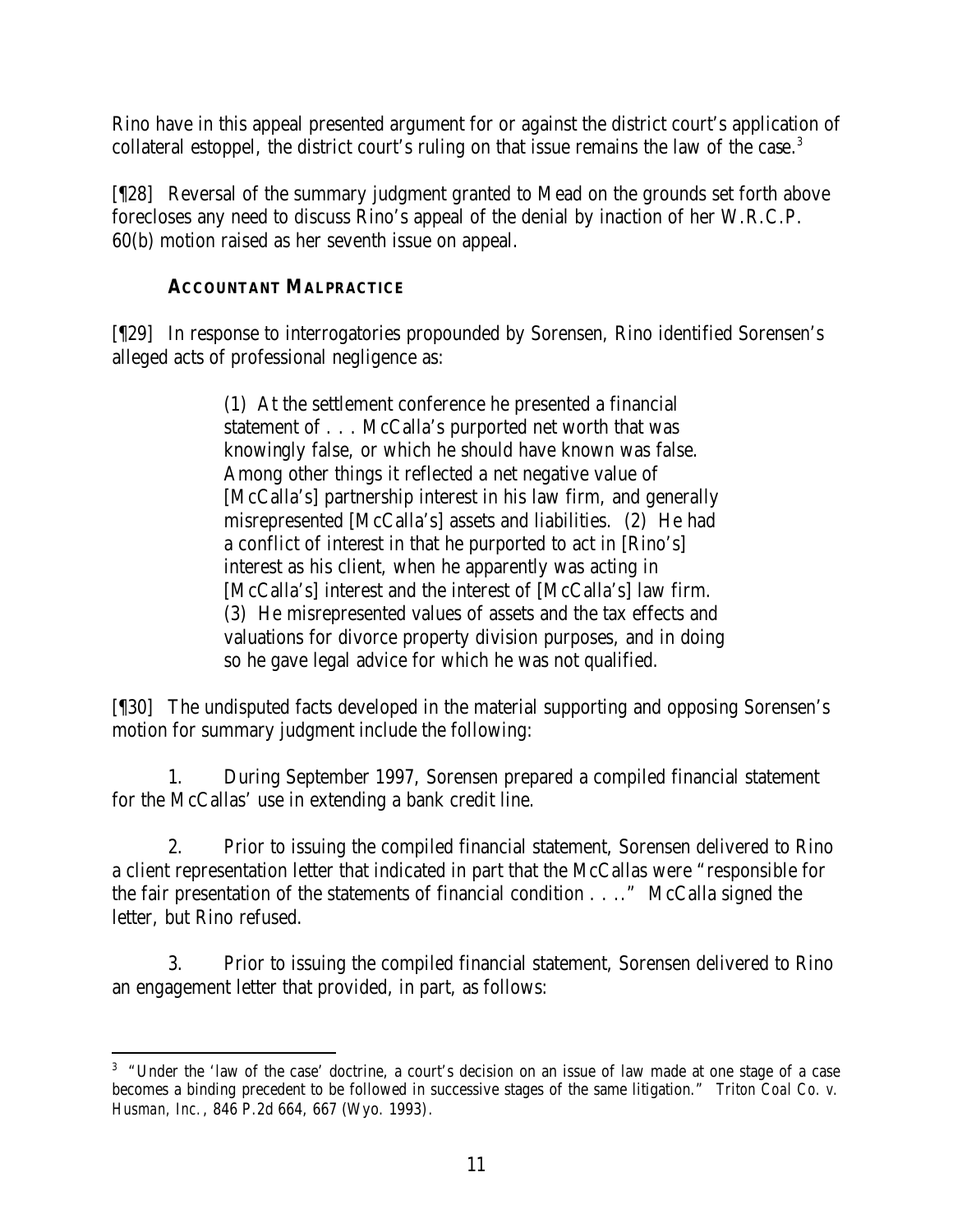Rino have in this appeal presented argument for or against the district court's application of collateral estoppel, the district court's ruling on that issue remains the law of the case.<sup>3</sup>

[¶28] Reversal of the summary judgment granted to Mead on the grounds set forth above forecloses any need to discuss Rino's appeal of the denial by inaction of her W.R.C.P. 60(b) motion raised as her seventh issue on appeal.

## **ACCOUNTANT MALPRACTICE**

[¶29] In response to interrogatories propounded by Sorensen, Rino identified Sorensen's alleged acts of professional negligence as:

> (1) At the settlement conference he presented a financial statement of . . . McCalla's purported net worth that was knowingly false, or which he should have known was false. Among other things it reflected a net negative value of [McCalla's] partnership interest in his law firm, and generally misrepresented [McCalla's] assets and liabilities. (2) He had a conflict of interest in that he purported to act in [Rino's] interest as his client, when he apparently was acting in [McCalla's] interest and the interest of [McCalla's] law firm. (3) He misrepresented values of assets and the tax effects and valuations for divorce property division purposes, and in doing so he gave legal advice for which he was not qualified.

[¶30] The undisputed facts developed in the material supporting and opposing Sorensen's motion for summary judgment include the following:

1. During September 1997, Sorensen prepared a compiled financial statement for the McCallas' use in extending a bank credit line.

2. Prior to issuing the compiled financial statement, Sorensen delivered to Rino a client representation letter that indicated in part that the McCallas were "responsible for the fair presentation of the statements of financial condition . . .." McCalla signed the letter, but Rino refused.

3. Prior to issuing the compiled financial statement, Sorensen delivered to Rino an engagement letter that provided, in part, as follows:

<sup>&</sup>lt;sup>3</sup> "Under the 'law of the case' doctrine, a court's decision on an issue of law made at one stage of a case becomes a binding precedent to be followed in successive stages of the same litigation." *Triton Coal Co. v. Husman, Inc.*, 846 P.2d 664, 667 (Wyo. 1993).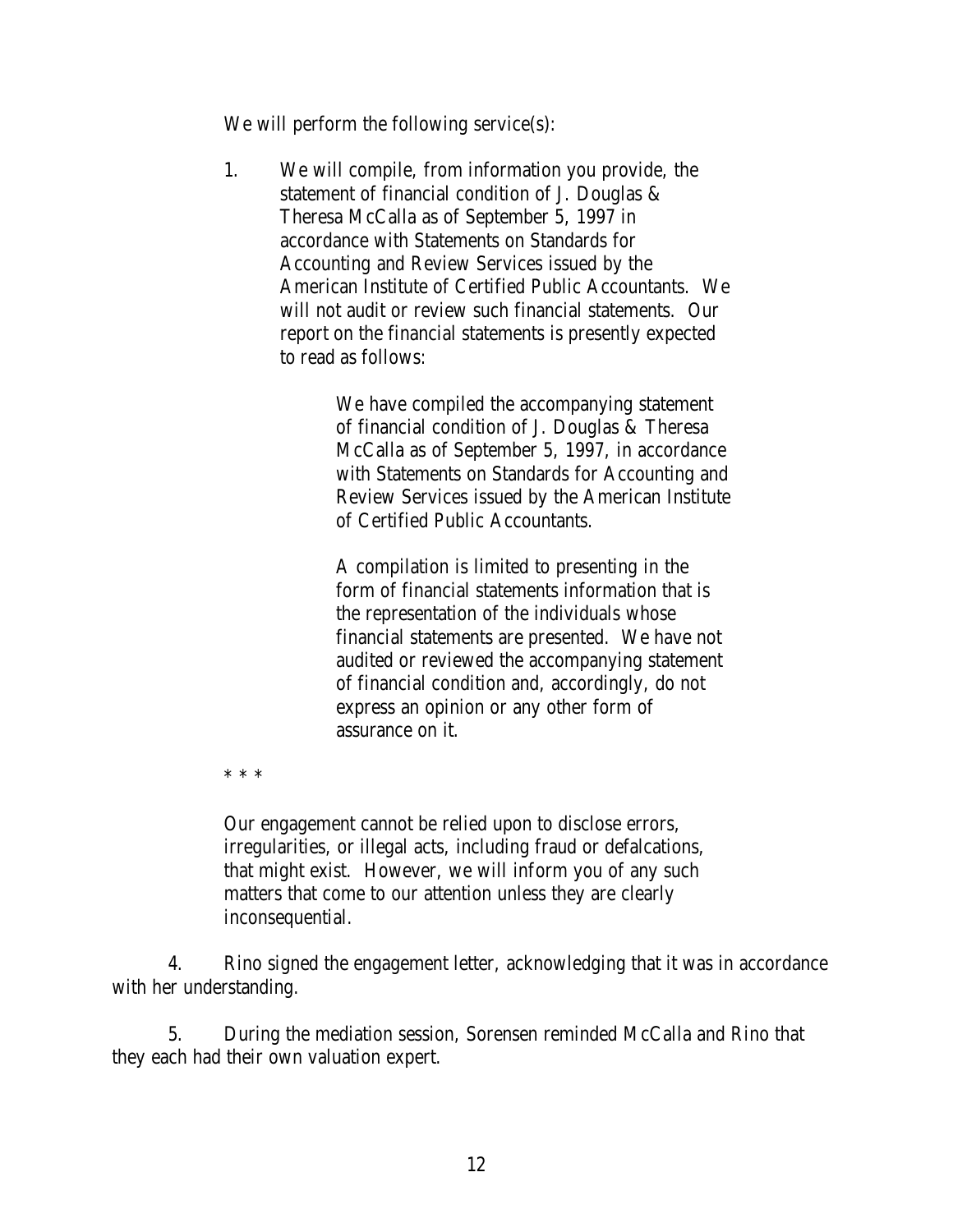We will perform the following service(s):

1. We will compile, from information you provide, the statement of financial condition of J. Douglas & Theresa McCalla as of September 5, 1997 in accordance with Statements on Standards for Accounting and Review Services issued by the American Institute of Certified Public Accountants. We will not audit or review such financial statements. Our report on the financial statements is presently expected to read as follows:

> We have compiled the accompanying statement of financial condition of J. Douglas & Theresa McCalla as of September 5, 1997, in accordance with Statements on Standards for Accounting and Review Services issued by the American Institute of Certified Public Accountants.

A compilation is limited to presenting in the form of financial statements information that is the representation of the individuals whose financial statements are presented. We have not audited or reviewed the accompanying statement of financial condition and, accordingly, do not express an opinion or any other form of assurance on it.

\* \* \*

Our engagement cannot be relied upon to disclose errors, irregularities, or illegal acts, including fraud or defalcations, that might exist. However, we will inform you of any such matters that come to our attention unless they are clearly inconsequential.

4. Rino signed the engagement letter, acknowledging that it was in accordance with her understanding.

5. During the mediation session, Sorensen reminded McCalla and Rino that they each had their own valuation expert.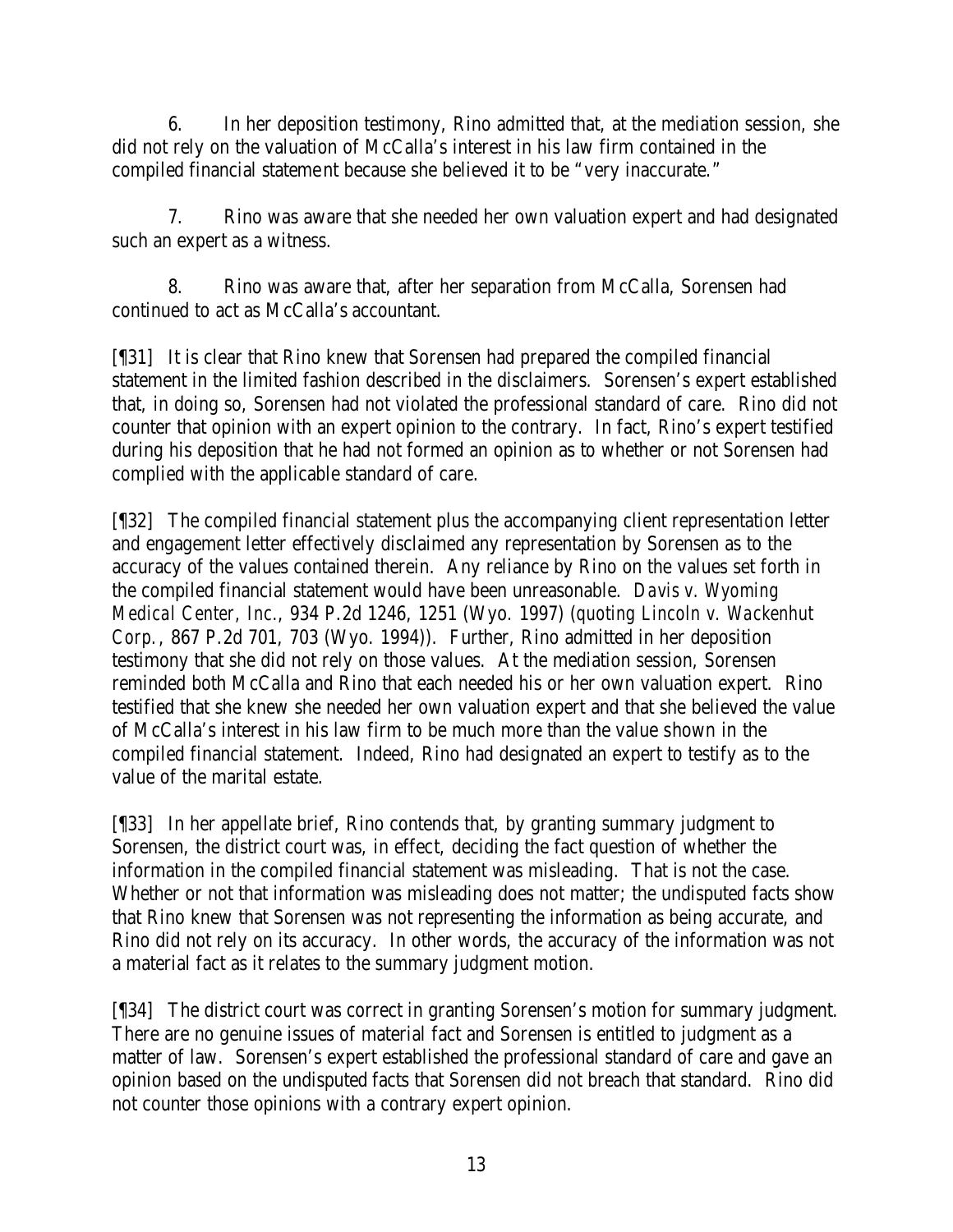6. In her deposition testimony, Rino admitted that, at the mediation session, she did not rely on the valuation of McCalla's interest in his law firm contained in the compiled financial statement because she believed it to be "very inaccurate."

7. Rino was aware that she needed her own valuation expert and had designated such an expert as a witness.

8. Rino was aware that, after her separation from McCalla, Sorensen had continued to act as McCalla's accountant.

[¶31] It is clear that Rino knew that Sorensen had prepared the compiled financial statement in the limited fashion described in the disclaimers. Sorensen's expert established that, in doing so, Sorensen had not violated the professional standard of care. Rino did not counter that opinion with an expert opinion to the contrary. In fact, Rino's expert testified during his deposition that he had not formed an opinion as to whether or not Sorensen had complied with the applicable standard of care.

[¶32] The compiled financial statement plus the accompanying client representation letter and engagement letter effectively disclaimed any representation by Sorensen as to the accuracy of the values contained therein. Any reliance by Rino on the values set forth in the compiled financial statement would have been unreasonable. *Davis v. Wyoming Medical Center, Inc.*, 934 P.2d 1246, 1251 (Wyo. 1997) (*quoting Lincoln v. Wackenhut Corp.*, 867 P.2d 701, 703 (Wyo. 1994)). Further, Rino admitted in her deposition testimony that she did not rely on those values. At the mediation session, Sorensen reminded both McCalla and Rino that each needed his or her own valuation expert. Rino testified that she knew she needed her own valuation expert and that she believed the value of McCalla's interest in his law firm to be much more than the value shown in the compiled financial statement. Indeed, Rino had designated an expert to testify as to the value of the marital estate.

[¶33] In her appellate brief, Rino contends that, by granting summary judgment to Sorensen, the district court was, in effect, deciding the fact question of whether the information in the compiled financial statement was misleading. That is not the case. Whether or not that information was misleading does not matter; the undisputed facts show that Rino knew that Sorensen was not representing the information as being accurate, and Rino did not rely on its accuracy. In other words, the accuracy of the information was not a material fact as it relates to the summary judgment motion.

[¶34] The district court was correct in granting Sorensen's motion for summary judgment. There are no genuine issues of material fact and Sorensen is entitled to judgment as a matter of law. Sorensen's expert established the professional standard of care and gave an opinion based on the undisputed facts that Sorensen did not breach that standard. Rino did not counter those opinions with a contrary expert opinion.